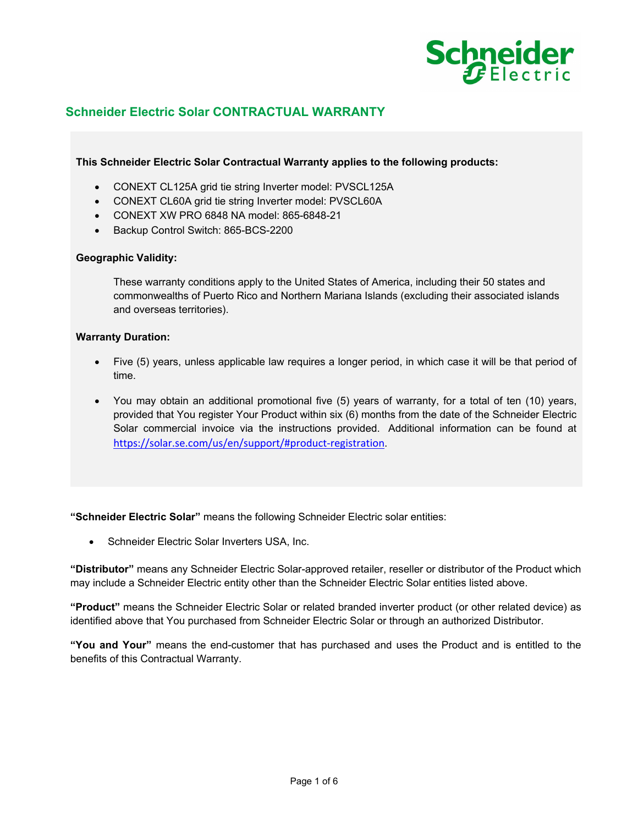

# **Schneider Electric Solar CONTRACTUAL WARRANTY**

### **This Schneider Electric Solar Contractual Warranty applies to the following products:**

- CONEXT CL125A grid tie string Inverter model: PVSCL125A
- CONEXT CL60A grid tie string Inverter model: PVSCL60A
- CONEXT XW PRO 6848 NA model: 865-6848-21
- Backup Control Switch: 865-BCS-2200

### **Geographic Validity:**

These warranty conditions apply to the United States of America, including their 50 states and commonwealths of Puerto Rico and Northern Mariana Islands (excluding their associated islands and overseas territories).

### **Warranty Duration:**

- Five (5) years, unless applicable law requires a longer period, in which case it will be that period of time.
- You may obtain an additional promotional five (5) years of warranty, for a total of ten (10) years, provided that You register Your Product within six (6) months from the date of the Schneider Electric Solar commercial invoice via the instructions provided. Additional information can be found at https://solar.se.com/us/en/support/#product‐registration.

**"Schneider Electric Solar"** means the following Schneider Electric solar entities:

• Schneider Electric Solar Inverters USA, Inc.

**"Distributor"** means any Schneider Electric Solar-approved retailer, reseller or distributor of the Product which may include a Schneider Electric entity other than the Schneider Electric Solar entities listed above.

**"Product"** means the Schneider Electric Solar or related branded inverter product (or other related device) as identified above that You purchased from Schneider Electric Solar or through an authorized Distributor.

**"You and Your"** means the end-customer that has purchased and uses the Product and is entitled to the benefits of this Contractual Warranty.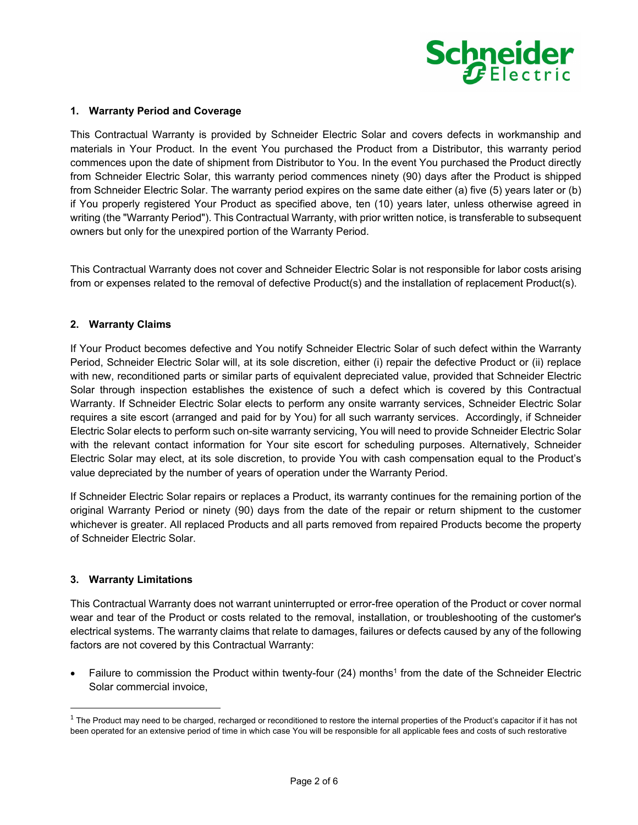

### **1. Warranty Period and Coverage**

This Contractual Warranty is provided by Schneider Electric Solar and covers defects in workmanship and materials in Your Product. In the event You purchased the Product from a Distributor, this warranty period commences upon the date of shipment from Distributor to You. In the event You purchased the Product directly from Schneider Electric Solar, this warranty period commences ninety (90) days after the Product is shipped from Schneider Electric Solar. The warranty period expires on the same date either (a) five (5) years later or (b) if You properly registered Your Product as specified above, ten (10) years later, unless otherwise agreed in writing (the "Warranty Period"). This Contractual Warranty, with prior written notice, is transferable to subsequent owners but only for the unexpired portion of the Warranty Period.

This Contractual Warranty does not cover and Schneider Electric Solar is not responsible for labor costs arising from or expenses related to the removal of defective Product(s) and the installation of replacement Product(s).

## **2. Warranty Claims**

If Your Product becomes defective and You notify Schneider Electric Solar of such defect within the Warranty Period, Schneider Electric Solar will, at its sole discretion, either (i) repair the defective Product or (ii) replace with new, reconditioned parts or similar parts of equivalent depreciated value, provided that Schneider Electric Solar through inspection establishes the existence of such a defect which is covered by this Contractual Warranty. If Schneider Electric Solar elects to perform any onsite warranty services, Schneider Electric Solar requires a site escort (arranged and paid for by You) for all such warranty services. Accordingly, if Schneider Electric Solar elects to perform such on-site warranty servicing, You will need to provide Schneider Electric Solar with the relevant contact information for Your site escort for scheduling purposes. Alternatively, Schneider Electric Solar may elect, at its sole discretion, to provide You with cash compensation equal to the Product's value depreciated by the number of years of operation under the Warranty Period.

If Schneider Electric Solar repairs or replaces a Product, its warranty continues for the remaining portion of the original Warranty Period or ninety (90) days from the date of the repair or return shipment to the customer whichever is greater. All replaced Products and all parts removed from repaired Products become the property of Schneider Electric Solar.

### **3. Warranty Limitations**

This Contractual Warranty does not warrant uninterrupted or error-free operation of the Product or cover normal wear and tear of the Product or costs related to the removal, installation, or troubleshooting of the customer's electrical systems. The warranty claims that relate to damages, failures or defects caused by any of the following factors are not covered by this Contractual Warranty:

• Failure to commission the Product within twenty-four (24) months<sup>1</sup> from the date of the Schneider Electric Solar commercial invoice,

 $1$  The Product may need to be charged, recharged or reconditioned to restore the internal properties of the Product's capacitor if it has not been operated for an extensive period of time in which case You will be responsible for all applicable fees and costs of such restorative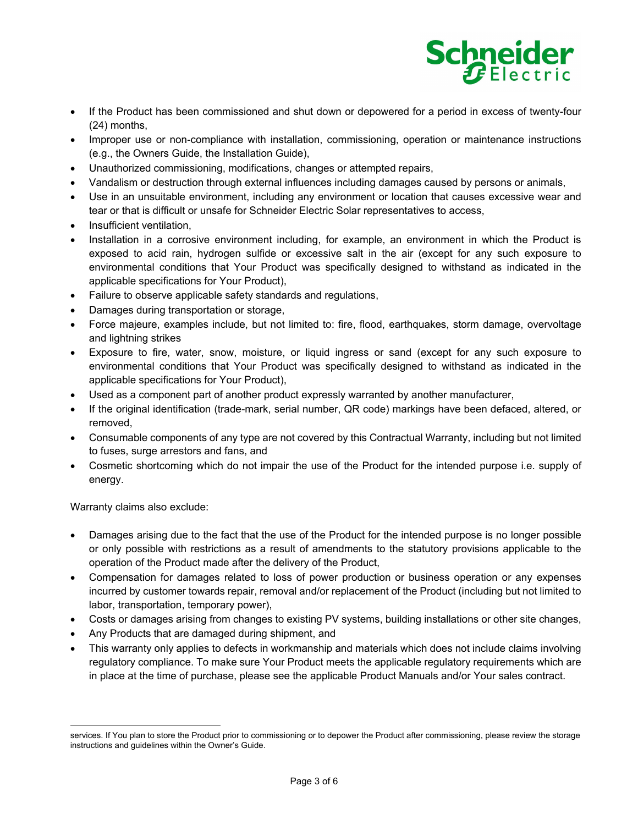

- If the Product has been commissioned and shut down or depowered for a period in excess of twenty-four (24) months,
- Improper use or non-compliance with installation, commissioning, operation or maintenance instructions (e.g., the Owners Guide, the Installation Guide),
- Unauthorized commissioning, modifications, changes or attempted repairs,
- Vandalism or destruction through external influences including damages caused by persons or animals,
- Use in an unsuitable environment, including any environment or location that causes excessive wear and tear or that is difficult or unsafe for Schneider Electric Solar representatives to access,
- Insufficient ventilation,
- Installation in a corrosive environment including, for example, an environment in which the Product is exposed to acid rain, hydrogen sulfide or excessive salt in the air (except for any such exposure to environmental conditions that Your Product was specifically designed to withstand as indicated in the applicable specifications for Your Product),
- Failure to observe applicable safety standards and regulations,
- Damages during transportation or storage,
- Force majeure, examples include, but not limited to: fire, flood, earthquakes, storm damage, overvoltage and lightning strikes
- Exposure to fire, water, snow, moisture, or liquid ingress or sand (except for any such exposure to environmental conditions that Your Product was specifically designed to withstand as indicated in the applicable specifications for Your Product),
- Used as a component part of another product expressly warranted by another manufacturer,
- If the original identification (trade-mark, serial number, QR code) markings have been defaced, altered, or removed,
- Consumable components of any type are not covered by this Contractual Warranty, including but not limited to fuses, surge arrestors and fans, and
- Cosmetic shortcoming which do not impair the use of the Product for the intended purpose i.e. supply of energy.

Warranty claims also exclude:

- Damages arising due to the fact that the use of the Product for the intended purpose is no longer possible or only possible with restrictions as a result of amendments to the statutory provisions applicable to the operation of the Product made after the delivery of the Product,
- Compensation for damages related to loss of power production or business operation or any expenses incurred by customer towards repair, removal and/or replacement of the Product (including but not limited to labor, transportation, temporary power),
- Costs or damages arising from changes to existing PV systems, building installations or other site changes,
- Any Products that are damaged during shipment, and
- This warranty only applies to defects in workmanship and materials which does not include claims involving regulatory compliance. To make sure Your Product meets the applicable regulatory requirements which are in place at the time of purchase, please see the applicable Product Manuals and/or Your sales contract.

services. If You plan to store the Product prior to commissioning or to depower the Product after commissioning, please review the storage instructions and guidelines within the Owner's Guide.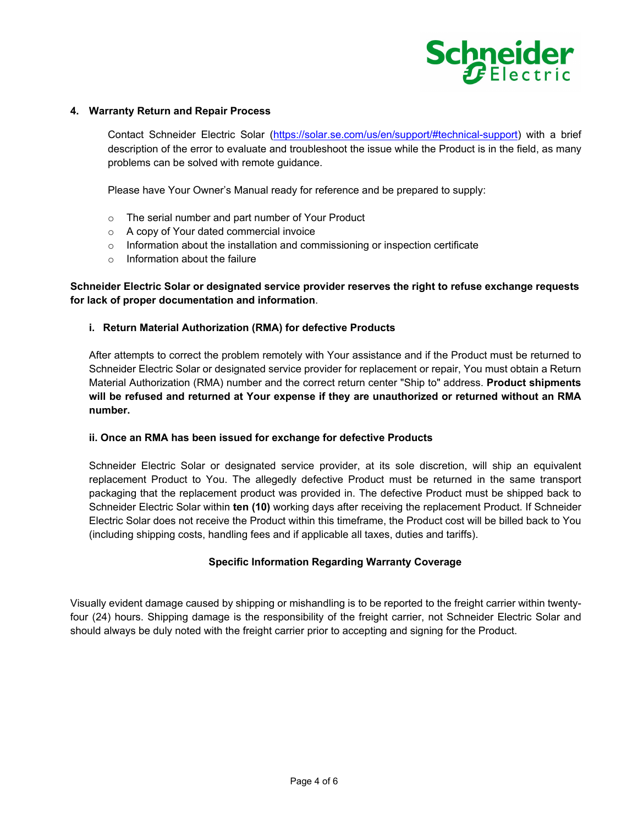

#### **4. Warranty Return and Repair Process**

Contact Schneider Electric Solar (https://solar.se.com/us/en/support/#technical-support) with a brief description of the error to evaluate and troubleshoot the issue while the Product is in the field, as many problems can be solved with remote guidance.

Please have Your Owner's Manual ready for reference and be prepared to supply:

- o The serial number and part number of Your Product
- o A copy of Your dated commercial invoice
- $\circ$  Information about the installation and commissioning or inspection certificate
- $\circ$  Information about the failure

# **Schneider Electric Solar or designated service provider reserves the right to refuse exchange requests for lack of proper documentation and information**.

#### **i. Return Material Authorization (RMA) for defective Products**

After attempts to correct the problem remotely with Your assistance and if the Product must be returned to Schneider Electric Solar or designated service provider for replacement or repair, You must obtain a Return Material Authorization (RMA) number and the correct return center "Ship to" address. **Product shipments will be refused and returned at Your expense if they are unauthorized or returned without an RMA number.** 

#### **ii. Once an RMA has been issued for exchange for defective Products**

Schneider Electric Solar or designated service provider, at its sole discretion, will ship an equivalent replacement Product to You. The allegedly defective Product must be returned in the same transport packaging that the replacement product was provided in. The defective Product must be shipped back to Schneider Electric Solar within **ten (10)** working days after receiving the replacement Product. If Schneider Electric Solar does not receive the Product within this timeframe, the Product cost will be billed back to You (including shipping costs, handling fees and if applicable all taxes, duties and tariffs).

### **Specific Information Regarding Warranty Coverage**

Visually evident damage caused by shipping or mishandling is to be reported to the freight carrier within twentyfour (24) hours. Shipping damage is the responsibility of the freight carrier, not Schneider Electric Solar and should always be duly noted with the freight carrier prior to accepting and signing for the Product.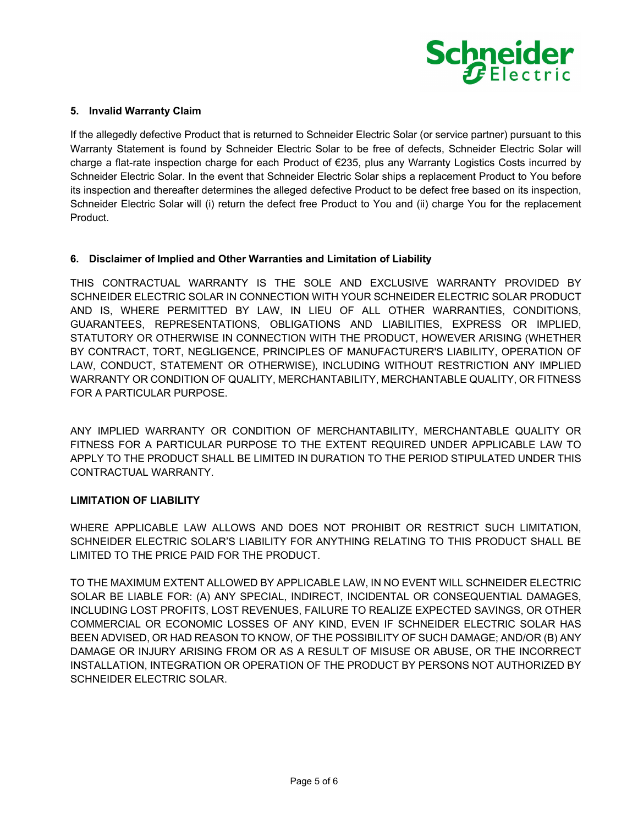

## **5. Invalid Warranty Claim**

If the allegedly defective Product that is returned to Schneider Electric Solar (or service partner) pursuant to this Warranty Statement is found by Schneider Electric Solar to be free of defects, Schneider Electric Solar will charge a flat-rate inspection charge for each Product of €235, plus any Warranty Logistics Costs incurred by Schneider Electric Solar. In the event that Schneider Electric Solar ships a replacement Product to You before its inspection and thereafter determines the alleged defective Product to be defect free based on its inspection, Schneider Electric Solar will (i) return the defect free Product to You and (ii) charge You for the replacement Product.

## **6. Disclaimer of Implied and Other Warranties and Limitation of Liability**

THIS CONTRACTUAL WARRANTY IS THE SOLE AND EXCLUSIVE WARRANTY PROVIDED BY SCHNEIDER ELECTRIC SOLAR IN CONNECTION WITH YOUR SCHNEIDER ELECTRIC SOLAR PRODUCT AND IS, WHERE PERMITTED BY LAW, IN LIEU OF ALL OTHER WARRANTIES, CONDITIONS, GUARANTEES, REPRESENTATIONS, OBLIGATIONS AND LIABILITIES, EXPRESS OR IMPLIED, STATUTORY OR OTHERWISE IN CONNECTION WITH THE PRODUCT, HOWEVER ARISING (WHETHER BY CONTRACT, TORT, NEGLIGENCE, PRINCIPLES OF MANUFACTURER'S LIABILITY, OPERATION OF LAW, CONDUCT, STATEMENT OR OTHERWISE), INCLUDING WITHOUT RESTRICTION ANY IMPLIED WARRANTY OR CONDITION OF QUALITY, MERCHANTABILITY, MERCHANTABLE QUALITY, OR FITNESS FOR A PARTICULAR PURPOSE.

ANY IMPLIED WARRANTY OR CONDITION OF MERCHANTABILITY, MERCHANTABLE QUALITY OR FITNESS FOR A PARTICULAR PURPOSE TO THE EXTENT REQUIRED UNDER APPLICABLE LAW TO APPLY TO THE PRODUCT SHALL BE LIMITED IN DURATION TO THE PERIOD STIPULATED UNDER THIS CONTRACTUAL WARRANTY.

### **LIMITATION OF LIABILITY**

WHERE APPLICABLE LAW ALLOWS AND DOES NOT PROHIBIT OR RESTRICT SUCH LIMITATION, SCHNEIDER ELECTRIC SOLAR'S LIABILITY FOR ANYTHING RELATING TO THIS PRODUCT SHALL BE LIMITED TO THE PRICE PAID FOR THE PRODUCT.

TO THE MAXIMUM EXTENT ALLOWED BY APPLICABLE LAW, IN NO EVENT WILL SCHNEIDER ELECTRIC SOLAR BE LIABLE FOR: (A) ANY SPECIAL, INDIRECT, INCIDENTAL OR CONSEQUENTIAL DAMAGES, INCLUDING LOST PROFITS, LOST REVENUES, FAILURE TO REALIZE EXPECTED SAVINGS, OR OTHER COMMERCIAL OR ECONOMIC LOSSES OF ANY KIND, EVEN IF SCHNEIDER ELECTRIC SOLAR HAS BEEN ADVISED, OR HAD REASON TO KNOW, OF THE POSSIBILITY OF SUCH DAMAGE; AND/OR (B) ANY DAMAGE OR INJURY ARISING FROM OR AS A RESULT OF MISUSE OR ABUSE, OR THE INCORRECT INSTALLATION, INTEGRATION OR OPERATION OF THE PRODUCT BY PERSONS NOT AUTHORIZED BY SCHNEIDER ELECTRIC SOLAR.